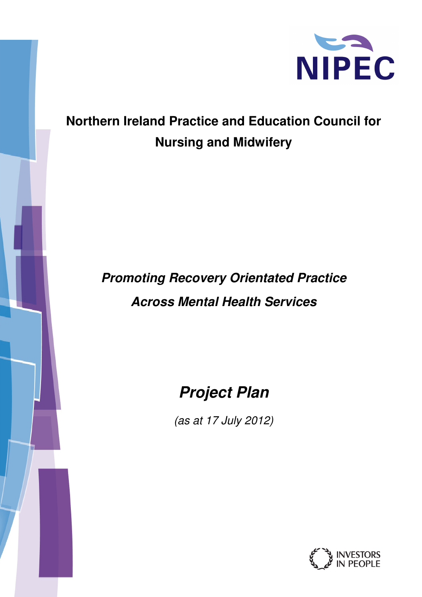

## **Northern Ireland Practice and Education Council for Nursing and Midwifery**

# **Promoting Recovery Orientated Practice Across Mental Health Services**

## **Project Plan**

(as at 17 July 2012)

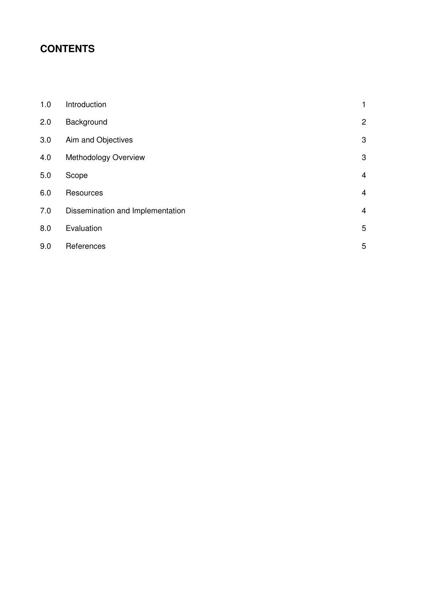### **CONTENTS**

| 1.0 | Introduction                     | 1              |
|-----|----------------------------------|----------------|
| 2.0 | Background                       | $\overline{2}$ |
| 3.0 | Aim and Objectives               | 3              |
| 4.0 | Methodology Overview             | 3              |
| 5.0 | Scope                            | $\overline{4}$ |
| 6.0 | Resources                        | $\overline{4}$ |
| 7.0 | Dissemination and Implementation | $\overline{4}$ |
| 8.0 | Evaluation                       | 5              |
| 9.0 | References                       | 5              |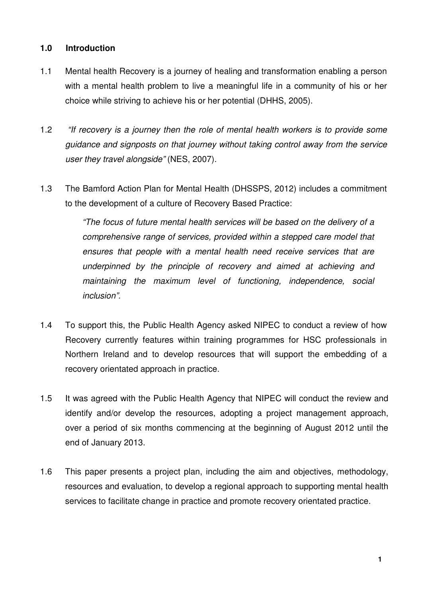#### **1.0 Introduction**

- 1.1 Mental health Recovery is a journey of healing and transformation enabling a person with a mental health problem to live a meaningful life in a community of his or her choice while striving to achieve his or her potential (DHHS, 2005).
- 1.2 "If recovery is a journey then the role of mental health workers is to provide some guidance and signposts on that journey without taking control away from the service user they travel alongside" (NES, 2007).
- 1.3 The Bamford Action Plan for Mental Health (DHSSPS, 2012) includes a commitment to the development of a culture of Recovery Based Practice:

"The focus of future mental health services will be based on the delivery of a comprehensive range of services, provided within a stepped care model that ensures that people with a mental health need receive services that are underpinned by the principle of recovery and aimed at achieving and maintaining the maximum level of functioning, independence, social inclusion".

- 1.4 To support this, the Public Health Agency asked NIPEC to conduct a review of how Recovery currently features within training programmes for HSC professionals in Northern Ireland and to develop resources that will support the embedding of a recovery orientated approach in practice.
- 1.5 It was agreed with the Public Health Agency that NIPEC will conduct the review and identify and/or develop the resources, adopting a project management approach, over a period of six months commencing at the beginning of August 2012 until the end of January 2013.
- 1.6 This paper presents a project plan, including the aim and objectives, methodology, resources and evaluation, to develop a regional approach to supporting mental health services to facilitate change in practice and promote recovery orientated practice.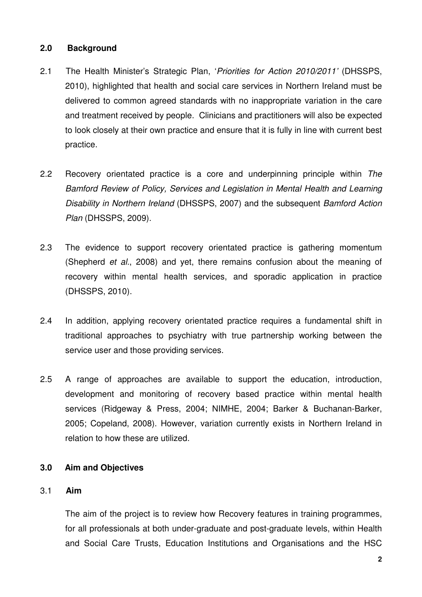#### **2.0 Background**

- 2.1 The Health Minister's Strategic Plan, 'Priorities for Action 2010/2011' (DHSSPS, 2010), highlighted that health and social care services in Northern Ireland must be delivered to common agreed standards with no inappropriate variation in the care and treatment received by people. Clinicians and practitioners will also be expected to look closely at their own practice and ensure that it is fully in line with current best practice.
- 2.2 Recovery orientated practice is a core and underpinning principle within The Bamford Review of Policy, Services and Legislation in Mental Health and Learning Disability in Northern Ireland (DHSSPS, 2007) and the subsequent Bamford Action Plan (DHSSPS, 2009).
- 2.3 The evidence to support recovery orientated practice is gathering momentum (Shepherd et al., 2008) and yet, there remains confusion about the meaning of recovery within mental health services, and sporadic application in practice (DHSSPS, 2010).
- 2.4 In addition, applying recovery orientated practice requires a fundamental shift in traditional approaches to psychiatry with true partnership working between the service user and those providing services.
- 2.5 A range of approaches are available to support the education, introduction, development and monitoring of recovery based practice within mental health services (Ridgeway & Press, 2004; NIMHE, 2004; Barker & Buchanan-Barker, 2005; Copeland, 2008). However, variation currently exists in Northern Ireland in relation to how these are utilized.

#### **3.0 Aim and Objectives**

#### 3.1 **Aim**

The aim of the project is to review how Recovery features in training programmes, for all professionals at both under-graduate and post-graduate levels, within Health and Social Care Trusts, Education Institutions and Organisations and the HSC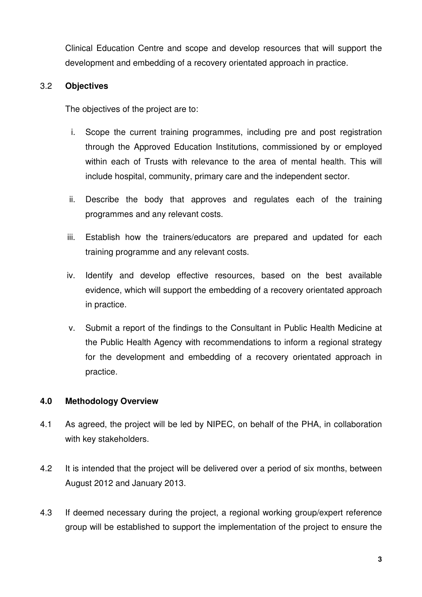Clinical Education Centre and scope and develop resources that will support the development and embedding of a recovery orientated approach in practice.

#### 3.2 **Objectives**

The objectives of the project are to:

- i. Scope the current training programmes, including pre and post registration through the Approved Education Institutions, commissioned by or employed within each of Trusts with relevance to the area of mental health. This will include hospital, community, primary care and the independent sector.
- ii. Describe the body that approves and regulates each of the training programmes and any relevant costs.
- iii. Establish how the trainers/educators are prepared and updated for each training programme and any relevant costs.
- iv. Identify and develop effective resources, based on the best available evidence, which will support the embedding of a recovery orientated approach in practice.
- v. Submit a report of the findings to the Consultant in Public Health Medicine at the Public Health Agency with recommendations to inform a regional strategy for the development and embedding of a recovery orientated approach in practice.

#### **4.0 Methodology Overview**

- 4.1 As agreed, the project will be led by NIPEC, on behalf of the PHA, in collaboration with key stakeholders.
- 4.2 It is intended that the project will be delivered over a period of six months, between August 2012 and January 2013.
- 4.3 If deemed necessary during the project, a regional working group/expert reference group will be established to support the implementation of the project to ensure the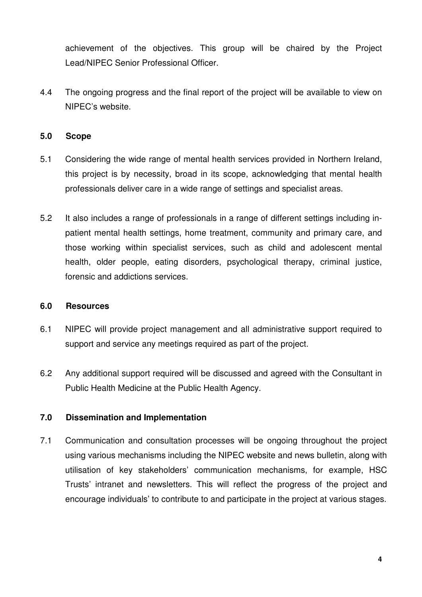achievement of the objectives. This group will be chaired by the Project Lead/NIPEC Senior Professional Officer.

4.4 The ongoing progress and the final report of the project will be available to view on NIPEC's website.

#### **5.0 Scope**

- 5.1 Considering the wide range of mental health services provided in Northern Ireland, this project is by necessity, broad in its scope, acknowledging that mental health professionals deliver care in a wide range of settings and specialist areas.
- 5.2 It also includes a range of professionals in a range of different settings including inpatient mental health settings, home treatment, community and primary care, and those working within specialist services, such as child and adolescent mental health, older people, eating disorders, psychological therapy, criminal justice, forensic and addictions services.

#### **6.0 Resources**

- 6.1 NIPEC will provide project management and all administrative support required to support and service any meetings required as part of the project.
- 6.2 Any additional support required will be discussed and agreed with the Consultant in Public Health Medicine at the Public Health Agency.

#### **7.0 Dissemination and Implementation**

7.1 Communication and consultation processes will be ongoing throughout the project using various mechanisms including the NIPEC website and news bulletin, along with utilisation of key stakeholders' communication mechanisms, for example, HSC Trusts' intranet and newsletters. This will reflect the progress of the project and encourage individuals' to contribute to and participate in the project at various stages.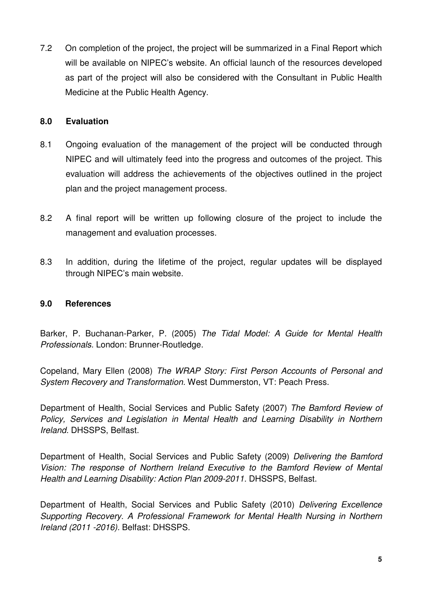7.2 On completion of the project, the project will be summarized in a Final Report which will be available on NIPEC's website. An official launch of the resources developed as part of the project will also be considered with the Consultant in Public Health Medicine at the Public Health Agency.

#### **8.0 Evaluation**

- 8.1 Ongoing evaluation of the management of the project will be conducted through NIPEC and will ultimately feed into the progress and outcomes of the project. This evaluation will address the achievements of the objectives outlined in the project plan and the project management process.
- 8.2 A final report will be written up following closure of the project to include the management and evaluation processes.
- 8.3 In addition, during the lifetime of the project, regular updates will be displayed through NIPEC's main website.

#### **9.0 References**

Barker, P. Buchanan-Parker, P. (2005) The Tidal Model: A Guide for Mental Health Professionals. London: Brunner-Routledge.

Copeland, Mary Ellen (2008) The WRAP Story: First Person Accounts of Personal and System Recovery and Transformation. West Dummerston, VT: Peach Press.

Department of Health, Social Services and Public Safety (2007) The Bamford Review of Policy, Services and Legislation in Mental Health and Learning Disability in Northern Ireland. DHSSPS, Belfast.

Department of Health, Social Services and Public Safety (2009) Delivering the Bamford Vision: The response of Northern Ireland Executive to the Bamford Review of Mental Health and Learning Disability: Action Plan 2009-2011. DHSSPS, Belfast.

Department of Health, Social Services and Public Safety (2010) Delivering Excellence Supporting Recovery. A Professional Framework for Mental Health Nursing in Northern Ireland (2011 -2016). Belfast: DHSSPS.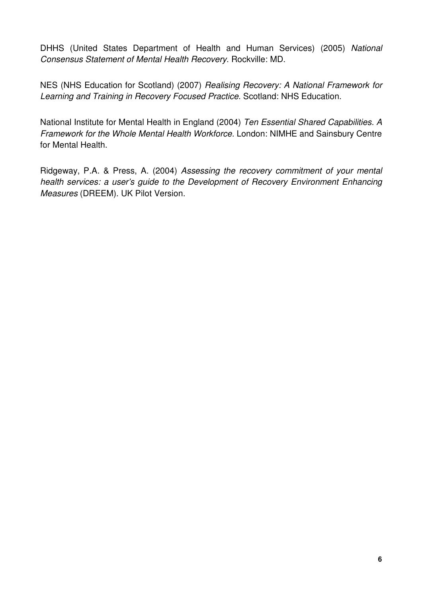DHHS (United States Department of Health and Human Services) (2005) National Consensus Statement of Mental Health Recovery. Rockville: MD.

NES (NHS Education for Scotland) (2007) Realising Recovery: A National Framework for Learning and Training in Recovery Focused Practice. Scotland: NHS Education.

National Institute for Mental Health in England (2004) Ten Essential Shared Capabilities. A Framework for the Whole Mental Health Workforce. London: NIMHE and Sainsbury Centre for Mental Health.

Ridgeway, P.A. & Press, A. (2004) Assessing the recovery commitment of your mental health services: a user's guide to the Development of Recovery Environment Enhancing Measures (DREEM). UK Pilot Version.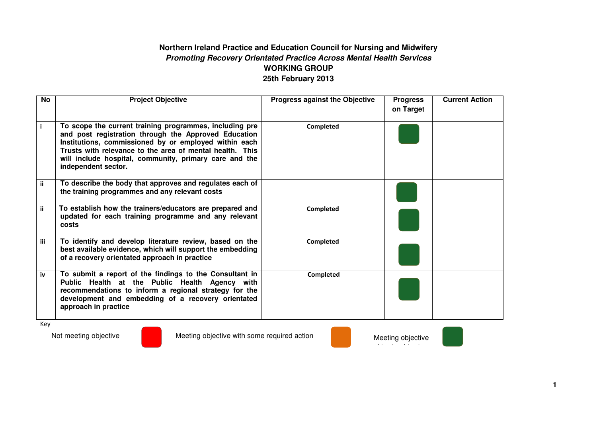#### **Northern Ireland Practice and Education Council for Nursing and Midwifery Promoting Recovery Orientated Practice Across Mental Health Services WORKING GROUP 25th February 2013**

| No   | <b>Project Objective</b>                                                                                                                                                                                                                                                                                              | <b>Progress against the Objective</b> | <b>Progress</b><br>on Target | <b>Current Action</b> |
|------|-----------------------------------------------------------------------------------------------------------------------------------------------------------------------------------------------------------------------------------------------------------------------------------------------------------------------|---------------------------------------|------------------------------|-----------------------|
|      | To scope the current training programmes, including pre<br>and post registration through the Approved Education<br>Institutions, commissioned by or employed within each<br>Trusts with relevance to the area of mental health. This<br>will include hospital, community, primary care and the<br>independent sector. | <b>Completed</b>                      |                              |                       |
| ii.  | To describe the body that approves and regulates each of<br>the training programmes and any relevant costs                                                                                                                                                                                                            |                                       |                              |                       |
| ii   | To establish how the trainers/educators are prepared and<br>updated for each training programme and any relevant<br>costs                                                                                                                                                                                             | Completed                             |                              |                       |
| iii. | To identify and develop literature review, based on the<br>best available evidence, which will support the embedding<br>of a recovery orientated approach in practice                                                                                                                                                 | Completed                             |                              |                       |
| iv   | To submit a report of the findings to the Consultant in<br>Public Health at the Public Health Agency with<br>recommendations to inform a regional strategy for the<br>development and embedding of a recovery orientated<br>approach in practice                                                                      | Completed                             |                              |                       |
| Key  |                                                                                                                                                                                                                                                                                                                       |                                       |                              |                       |

Not meeting objective Meeting objective with some required action Meeting objective